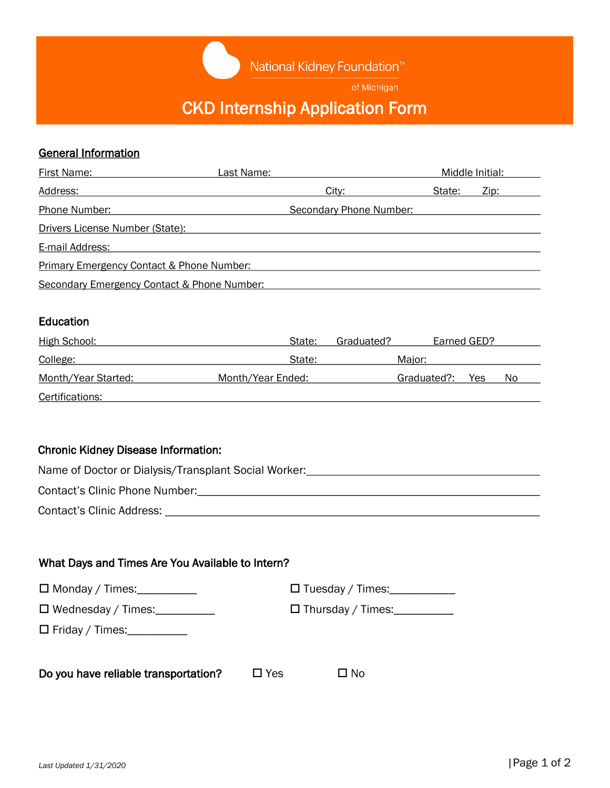National Kidney Foundation<sup>™</sup>

of Michigan

# CKD Internship Application Form

## General Information

| First Name:                                 | Last Name:              | Middle Initial: |
|---------------------------------------------|-------------------------|-----------------|
| Address:                                    | City:                   | State:<br>Zip:  |
| Phone Number:                               | Secondary Phone Number: |                 |
| Drivers License Number (State):             |                         |                 |
| E-mail Address:                             |                         |                 |
| Primary Emergency Contact & Phone Number:   |                         |                 |
| Secondary Emergency Contact & Phone Number: |                         |                 |

## Education

| High School:        | State:            | Earned GED?<br>Graduated? |            |
|---------------------|-------------------|---------------------------|------------|
| College:            | State:            | Maior:                    |            |
| Month/Year Started: | Month/Year Ended: | Graduated?:               | No.<br>Yes |
| Certifications:     |                   |                           |            |

## Chronic Kidney Disease Information:

| Name of Doctor or Dialysis/Transplant Social Worker: |  |
|------------------------------------------------------|--|
|                                                      |  |
| Contact's Clinic Phone Number:                       |  |
| Contact's Clinic Address:                            |  |

## What Days and Times Are You Available to Intern?

| $\Box$ Monday / Times:               |            | $\Box$ Tuesday / Times:  |  |
|--------------------------------------|------------|--------------------------|--|
| $\Box$ Wednesday / Times: $\Box$     |            | $\Box$ Thursday / Times: |  |
| $\Box$ Friday / Times: ___________   |            |                          |  |
| Do you have reliable transportation? | $\Box$ Yes | $\Box$ No                |  |